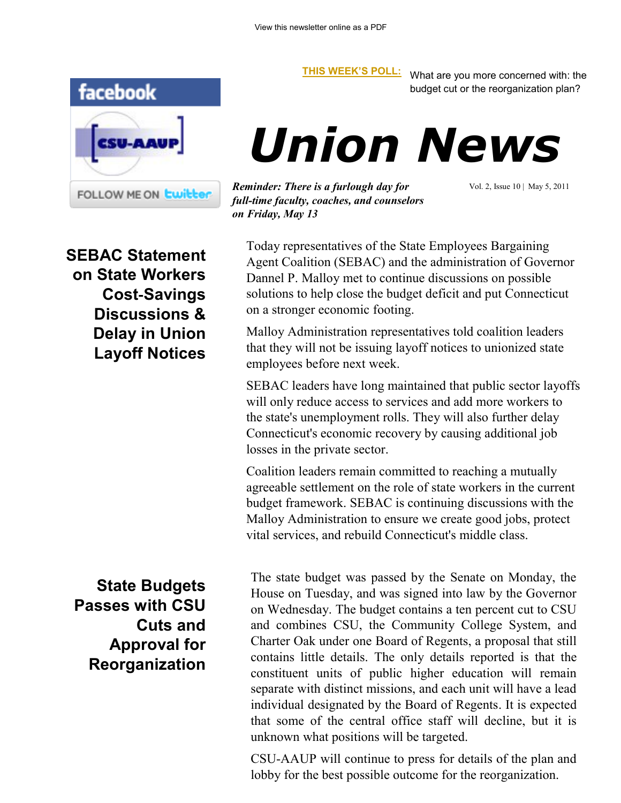

**[THIS WEEK'S POLL:](http://www.csuaaup.org/)** What are you more concerned with: the budget cut or the reorganization plan?

# *Union News*

Today representatives of the State Employees Bargaining Agent Coalition (SEBAC) and the administration of Governor Dannel P. Malloy met to continue discussions on possible solutions to help close the budget deficit and put Connecticut

*Reminder: There is a furlough day for full-time faculty, coaches, and counselors on Friday, May 13*

on a stronger economic footing.

Vol. 2, Issue 10 | May 5, 2011

**SEBAC Statement on State Workers Cost**‐**Savings Discussions & Delay in Union Layoff Notices** 

employees before next week. SEBAC leaders have long maintained that public sector layoffs will only reduce access to services and add more workers to the state's unemployment rolls. They will also further delay Connecticut's economic recovery by causing additional job losses in the private sector.

Malloy Administration representatives told coalition leaders that they will not be issuing layoff notices to unionized state

Coalition leaders remain committed to reaching a mutually agreeable settlement on the role of state workers in the current budget framework. SEBAC is continuing discussions with the Malloy Administration to ensure we create good jobs, protect vital services, and rebuild Connecticut's middle class.

**State Budgets Passes with CSU Cuts and Approval for Reorganization** The state budget was passed by the Senate on Monday, the House on Tuesday, and was signed into law by the Governor on Wednesday. The budget contains a ten percent cut to CSU and combines CSU, the Community College System, and Charter Oak under one Board of Regents, a proposal that still contains little details. The only details reported is that the constituent units of public higher education will remain separate with distinct missions, and each unit will have a lead individual designated by the Board of Regents. It is expected that some of the central office staff will decline, but it is unknown what positions will be targeted.

CSU-AAUP will continue to press for details of the plan and lobby for the best possible outcome for the reorganization.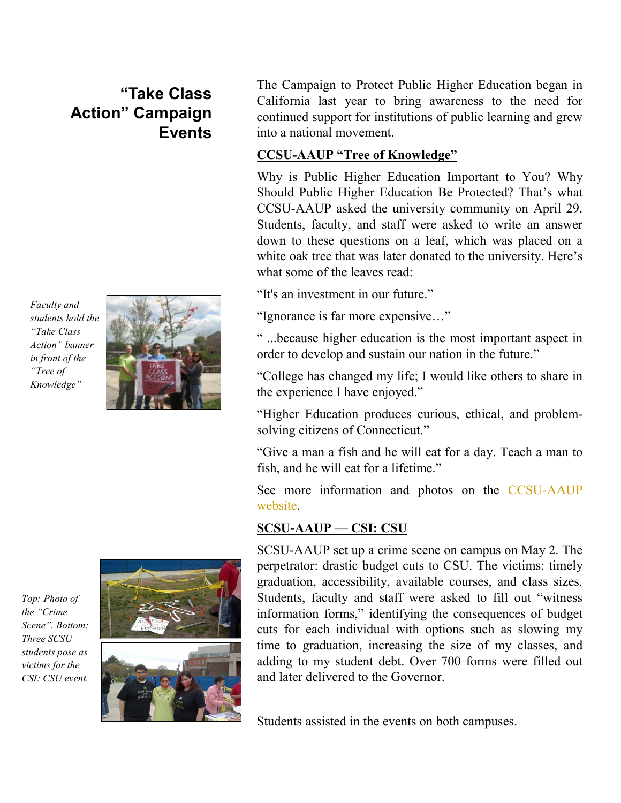## **"Take Class Action" Campaign Events**

*Faculty and students hold the "Take Class Action" banner in front of the "Tree of Knowledge"*



The Campaign to Protect Public Higher Education began in California last year to bring awareness to the need for continued support for institutions of public learning and grew into a national movement.

#### **CCSU-AAUP "Tree of Knowledge"**

Why is Public Higher Education Important to You? Why Should Public Higher Education Be Protected? That"s what CCSU-AAUP asked the university community on April 29. Students, faculty, and staff were asked to write an answer down to these questions on a leaf, which was placed on a white oak tree that was later donated to the university. Here's what some of the leaves read:

"It's an investment in our future."

"Ignorance is far more expensive…"

" ...because higher education is the most important aspect in order to develop and sustain our nation in the future."

"College has changed my life; I would like others to share in the experience I have enjoyed."

"Higher Education produces curious, ethical, and problemsolving citizens of Connecticut."

"Give a man a fish and he will eat for a day. Teach a man to fish, and he will eat for a lifetime."

See more information and photos on the [CCSU-AAUP](http://ccsu.csuaaup.org/)  [website.](http://ccsu.csuaaup.org/)

### **SCSU-AAUP — CSI: CSU**

SCSU-AAUP set up a crime scene on campus on May 2. The perpetrator: drastic budget cuts to CSU. The victims: timely graduation, accessibility, available courses, and class sizes. Students, faculty and staff were asked to fill out "witness information forms," identifying the consequences of budget cuts for each individual with options such as slowing my time to graduation, increasing the size of my classes, and adding to my student debt. Over 700 forms were filled out and later delivered to the Governor.

Students assisted in the events on both campuses.

*Top: Photo of the "Crime Scene". Bottom: Three SCSU students pose as victims for the CSI: CSU event.*